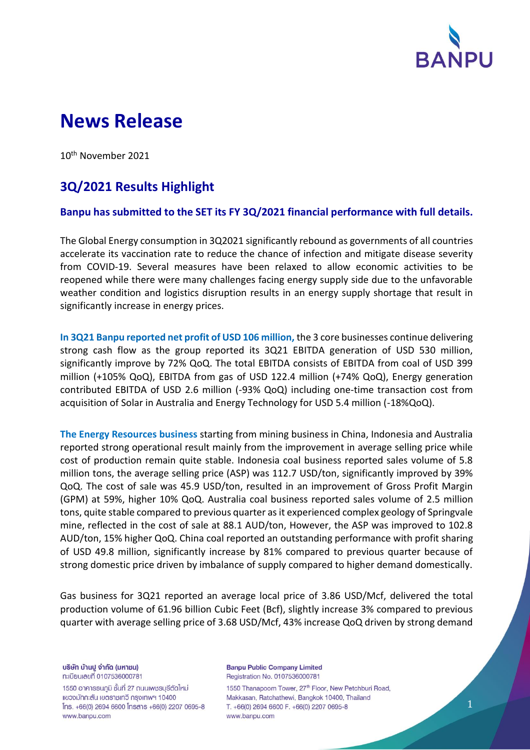

# **News Release**

10th November 2021

# **3Q/2021 Results Highlight**

## **Banpu has submitted to the SET its FY 3Q/2021 financial performance with full details.**

The Global Energy consumption in 3Q2021 significantly rebound as governments of all countries accelerate its vaccination rate to reduce the chance of infection and mitigate disease severity from COVID-19. Several measures have been relaxed to allow economic activities to be reopened while there were many challenges facing energy supply side due to the unfavorable weather condition and logistics disruption results in an energy supply shortage that result in significantly increase in energy prices.

**In 3Q21 Banpu reported net profit of USD 106 million,** the 3 core businesses continue delivering strong cash flow as the group reported its 3Q21 EBITDA generation of USD 530 million, significantly improve by 72% QoQ. The total EBITDA consists of EBITDA from coal of USD 399 million (+105% QoQ), EBITDA from gas of USD 122.4 million (+74% QoQ), Energy generation contributed EBITDA of USD 2.6 million (-93% QoQ) including one-time transaction cost from acquisition of Solar in Australia and Energy Technology for USD 5.4 million (-18%QoQ).

**The Energy Resources business** starting from mining business in China, Indonesia and Australia reported strong operational result mainly from the improvement in average selling price while cost of production remain quite stable. Indonesia coal business reported sales volume of 5.8 million tons, the average selling price (ASP) was 112.7 USD/ton, significantly improved by 39% QoQ. The cost of sale was 45.9 USD/ton, resulted in an improvement of Gross Profit Margin (GPM) at 59%, higher 10% QoQ. Australia coal business reported sales volume of 2.5 million tons, quite stable compared to previous quarter as it experienced complex geology of Springvale mine, reflected in the cost of sale at 88.1 AUD/ton, However, the ASP was improved to 102.8 AUD/ton, 15% higher QoQ. China coal reported an outstanding performance with profit sharing of USD 49.8 million, significantly increase by 81% compared to previous quarter because of strong domestic price driven by imbalance of supply compared to higher demand domestically.

Gas business for 3Q21 reported an average local price of 3.86 USD/Mcf, delivered the total production volume of 61.96 billion Cubic Feet (Bcf), slightly increase 3% compared to previous quarter with average selling price of 3.68 USD/Mcf, 43% increase QoQ driven by strong demand

บริษัท บ้านปู จำกัด (มหาชน) ทะเบียนเลขที่ 0107536000781

1550 อาคาธธนภูมิ ชั้นที่ 27 ถนนเพชรบุรีตัดใหม่ แขวงมักกะสัน เขตราชเทวี กรุงเทพฯ 10400  $Ins. +66(0)$  2694 6600  $Însans +66(0)$  2207 0695-8 www.banpu.com

**Banpu Public Company Limited** Registration No. 0107536000781

1550 Thanapoom Tower, 27<sup>th</sup> Floor, New Petchburi Road, Makkasan, Ratchathewi, Bangkok 10400, Thailand T. +66(0) 2694 6600 F. +66(0) 2207 0695-8 www.banpu.com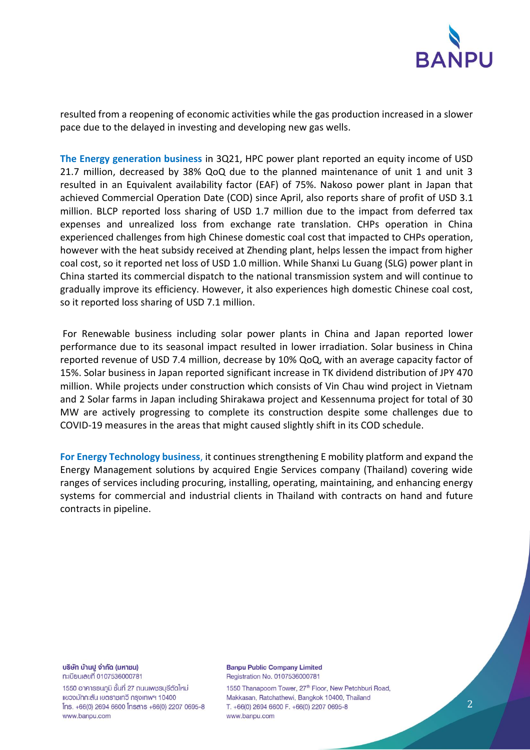

resulted from a reopening of economic activities while the gas production increased in a slower pace due to the delayed in investing and developing new gas wells.

**The Energy generation business** in 3Q21, HPC power plant reported an equity income of USD 21.7 million, decreased by 38% QoQ due to the planned maintenance of unit 1 and unit 3 resulted in an Equivalent availability factor (EAF) of 75%. Nakoso power plant in Japan that achieved Commercial Operation Date (COD) since April, also reports share of profit of USD 3.1 million. BLCP reported loss sharing of USD 1.7 million due to the impact from deferred tax expenses and unrealized loss from exchange rate translation. CHPs operation in China experienced challenges from high Chinese domestic coal cost that impacted to CHPs operation, however with the heat subsidy received at Zhending plant, helps lessen the impact from higher coal cost, so it reported net loss of USD 1.0 million. While Shanxi Lu Guang (SLG) power plant in China started its commercial dispatch to the national transmission system and will continue to gradually improve its efficiency. However, it also experiences high domestic Chinese coal cost, so it reported loss sharing of USD 7.1 million.

For Renewable business including solar power plants in China and Japan reported lower performance due to its seasonal impact resulted in lower irradiation. Solar business in China reported revenue of USD 7.4 million, decrease by 10% QoQ, with an average capacity factor of 15%. Solar business in Japan reported significant increase in TK dividend distribution of JPY 470 million. While projects under construction which consists of Vin Chau wind project in Vietnam and 2 Solar farms in Japan including Shirakawa project and Kessennuma project for total of 30 MW are actively progressing to complete its construction despite some challenges due to COVID-19 measures in the areas that might caused slightly shift in its COD schedule.

**For Energy Technology business**, it continues strengthening E mobility platform and expand the Energy Management solutions by acquired Engie Services company (Thailand) covering wide ranges of services including procuring, installing, operating, maintaining, and enhancing energy systems for commercial and industrial clients in Thailand with contracts on hand and future contracts in pipeline.

บริษัท บ้านปู จำกัด (มหาชน) ทะเบียนเลขที่ 0107536000781

1550 อาคารธนกูมิ ชั้นที่ 27 ถนนเพชรบุรีตัดใหม่ แขวงมักกะสัน เขตราชเทวี กรุงเทพฯ 10400 lns. +66(0) 2694 6600 lnsans +66(0) 2207 0695-8 www.banpu.com

**Banpu Public Company Limited** Registration No. 0107536000781

1550 Thanapoom Tower, 27<sup>th</sup> Floor, New Petchburi Road, Makkasan, Ratchathewi, Bangkok 10400, Thailand T. +66(0) 2694 6600 F. +66(0) 2207 0695-8 www.banpu.com

2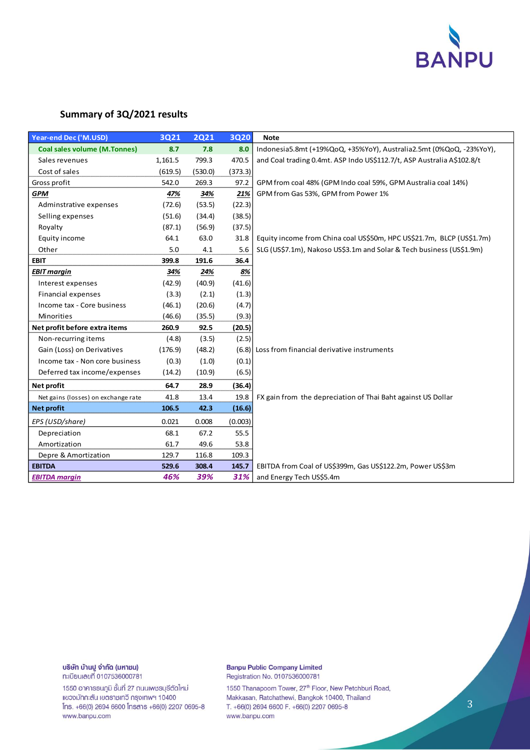

### **Summary of 3Q/2021 results**

| <b>Year-end Dec ('M.USD)</b>        | 3Q21    | <b>2Q21</b> | <b>3Q20</b> | <b>Note</b>                                                            |  |  |
|-------------------------------------|---------|-------------|-------------|------------------------------------------------------------------------|--|--|
| <b>Coal sales volume (M.Tonnes)</b> | 8.7     | 7.8         | 8.0         | Indonesia5.8mt (+19%QoQ, +35%YoY), Australia2.5mt (0%QoQ, -23%YoY),    |  |  |
| Sales revenues                      | 1,161.5 | 799.3       | 470.5       | and Coal trading 0.4mt. ASP Indo US\$112.7/t, ASP Australia A\$102.8/t |  |  |
| Cost of sales                       | (619.5) | (530.0)     | (373.3)     |                                                                        |  |  |
| Gross profit                        | 542.0   | 269.3       | 97.2        | GPM from coal 48% (GPM Indo coal 59%, GPM Australia coal 14%)          |  |  |
| <b>GPM</b>                          | 47%     | 34%         | 21%         | GPM from Gas 53%, GPM from Power 1%                                    |  |  |
| Adminstrative expenses              | (72.6)  | (53.5)      | (22.3)      |                                                                        |  |  |
| Selling expenses                    | (51.6)  | (34.4)      | (38.5)      |                                                                        |  |  |
| Royalty                             | (87.1)  | (56.9)      | (37.5)      |                                                                        |  |  |
| Equity income                       | 64.1    | 63.0        | 31.8        | Equity income from China coal US\$50m, HPC US\$21.7m, BLCP (US\$1.7m)  |  |  |
| Other                               | 5.0     | 4.1         | 5.6         | SLG (US\$7.1m), Nakoso US\$3.1m and Solar & Tech business (US\$1.9m)   |  |  |
| <b>EBIT</b>                         | 399.8   | 191.6       | 36.4        |                                                                        |  |  |
| <b>EBIT margin</b>                  | 34%     | 24%         | 8%          |                                                                        |  |  |
| Interest expenses                   | (42.9)  | (40.9)      | (41.6)      |                                                                        |  |  |
| <b>Financial expenses</b>           | (3.3)   | (2.1)       | (1.3)       |                                                                        |  |  |
| Income tax - Core business          | (46.1)  | (20.6)      | (4.7)       |                                                                        |  |  |
| Minorities                          | (46.6)  | (35.5)      | (9.3)       |                                                                        |  |  |
| Net profit before extra items       | 260.9   | 92.5        | (20.5)      |                                                                        |  |  |
| Non-recurring items                 | (4.8)   | (3.5)       | (2.5)       |                                                                        |  |  |
| Gain (Loss) on Derivatives          | (176.9) | (48.2)      | (6.8)       | Loss from financial derivative instruments                             |  |  |
| Income tax - Non core business      | (0.3)   | (1.0)       | (0.1)       |                                                                        |  |  |
| Deferred tax income/expenses        | (14.2)  | (10.9)      | (6.5)       |                                                                        |  |  |
| Net profit                          | 64.7    | 28.9        | (36.4)      |                                                                        |  |  |
| Net gains (losses) on exchange rate | 41.8    | 13.4        | 19.8        | FX gain from the depreciation of Thai Baht against US Dollar           |  |  |
| Net profit                          | 106.5   | 42.3        | (16.6)      |                                                                        |  |  |
| EPS (USD/share)                     | 0.021   | 0.008       | (0.003)     |                                                                        |  |  |
| Depreciation                        | 68.1    | 67.2        | 55.5        |                                                                        |  |  |
| Amortization                        | 61.7    | 49.6        | 53.8        |                                                                        |  |  |
| Depre & Amortization                | 129.7   | 116.8       | 109.3       |                                                                        |  |  |
| <b>EBITDA</b>                       | 529.6   | 308.4       | 145.7       | EBITDA from Coal of US\$399m, Gas US\$122.2m, Power US\$3m             |  |  |
| <b>EBITDA margin</b>                | 46%     | 39%         | 31%         | and Energy Tech US\$5.4m                                               |  |  |

#### บริษัท บ้านปู จำกัด (มหาชน) ทะเบียนเลขที่ 0107536000781

1550 อาคารธนภูมิ ชั้นที่ 27 ถนนเพชรบุรีตัดใหม่ แขวงมักกะสัน เขตราชเทวี กรุงเทพฯ 10400 Ins. +66(0) 2694 6600 Insans +66(0) 2207 0695-8 www.banpu.com

#### **Banpu Public Company Limited** Registration No. 0107536000781

1550 Thanapoom Tower, 27<sup>th</sup> Floor, New Petchburi Road, Makkasan, Ratchathewi, Bangkok 10400, Thailand T. +66(0) 2694 6600 F. +66(0) 2207 0695-8 www.banpu.com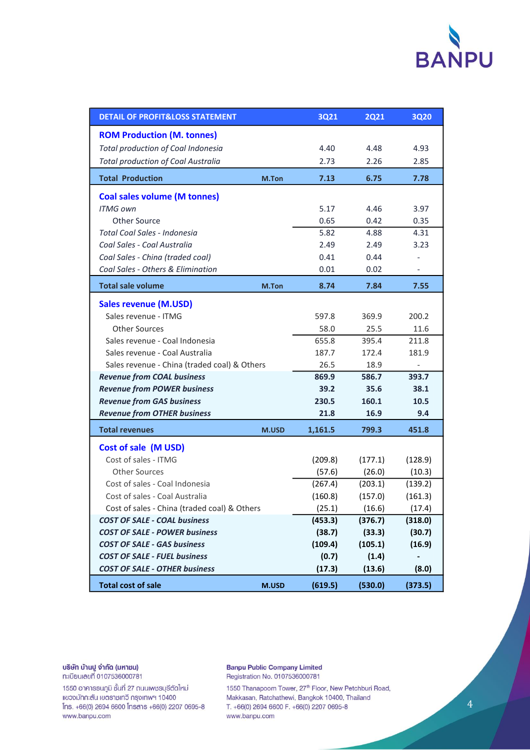

| <b>DETAIL OF PROFIT&amp;LOSS STATEMENT</b>   | <b>3Q21</b> | <b>2Q21</b> | <b>3Q20</b> |         |
|----------------------------------------------|-------------|-------------|-------------|---------|
| <b>ROM Production (M. tonnes)</b>            |             |             |             |         |
| Total production of Coal Indonesia           | 4.40        | 4.48        | 4.93        |         |
| <b>Total production of Coal Australia</b>    |             | 2.73        | 2.26        | 2.85    |
| <b>Total Production</b><br>M.Ton             |             | 7.13        | 6.75        | 7.78    |
| <b>Coal sales volume (M tonnes)</b>          |             |             |             |         |
| <b>ITMG own</b>                              |             | 5.17        | 4.46        | 3.97    |
| <b>Other Source</b>                          |             | 0.65        | 0.42        | 0.35    |
| Total Coal Sales - Indonesia                 |             | 5.82        | 4.88        | 4.31    |
| Coal Sales - Coal Australia                  |             | 2.49        | 2.49        | 3.23    |
| Coal Sales - China (traded coal)             |             | 0.41        | 0.44        |         |
| Coal Sales - Others & Elimination            |             | 0.01        | 0.02        |         |
| <b>Total sale volume</b>                     | M.Ton       | 8.74        | 7.84        | 7.55    |
| <b>Sales revenue (M.USD)</b>                 |             |             |             |         |
| Sales revenue - ITMG                         |             | 597.8       | 369.9       | 200.2   |
| <b>Other Sources</b>                         |             | 58.0        | 25.5        | 11.6    |
| Sales revenue - Coal Indonesia               |             | 655.8       | 395.4       | 211.8   |
| Sales revenue - Coal Australia               |             | 187.7       | 172.4       | 181.9   |
| Sales revenue - China (traded coal) & Others |             | 26.5        | 18.9        |         |
| <b>Revenue from COAL business</b>            | 869.9       | 586.7       | 393.7       |         |
| <b>Revenue from POWER business</b>           | 39.2        | 35.6        | 38.1        |         |
| <b>Revenue from GAS business</b>             | 230.5       | 160.1       | 10.5        |         |
| <b>Revenue from OTHER business</b>           |             | 21.8        | 16.9        | 9.4     |
| <b>Total revenues</b>                        | M.USD       | 1,161.5     | 799.3       | 451.8   |
| <b>Cost of sale (M USD)</b>                  |             |             |             |         |
| Cost of sales - ITMG                         |             | (209.8)     | (177.1)     | (128.9) |
| <b>Other Sources</b>                         |             | (57.6)      | (26.0)      | (10.3)  |
| Cost of sales - Coal Indonesia               |             | (267.4)     | (203.1)     | (139.2) |
| Cost of sales - Coal Australia               |             | (160.8)     | (157.0)     | (161.3) |
| Cost of sales - China (traded coal) & Others |             | (25.1)      | (16.6)      | (17.4)  |
| <b>COST OF SALE - COAL business</b>          |             | (453.3)     | (376.7)     | (318.0) |
| <b>COST OF SALE - POWER business</b>         | (38.7)      | (33.3)      | (30.7)      |         |
| <b>COST OF SALE - GAS business</b>           |             | (109.4)     | (105.1)     | (16.9)  |
| <b>COST OF SALE - FUEL business</b>          |             | (0.7)       | (1.4)       |         |
| <b>COST OF SALE - OTHER business</b>         |             | (17.3)      | (13.6)      | (8.0)   |
| <b>Total cost of sale</b>                    | M.USD       | (619.5)     | (530.0)     | (373.5) |

**บริษัท บ้านปู จำกัด (มหาชน)**<br>ทะเบียนเลขที่ 0107536000781

1550 อาคารธนภูมิ ชั้นที่ 27 ถนนเพชรบุรีตัดใหม่<br>แขวงมักกะสัน เขตราชเทวี กรุงเทพฯ 10400 Ins. +66(0) 2694 6600 Insans +66(0) 2207 0695-8 www.banpu.com

**Banpu Public Company Limited** Registration No. 0107536000781

1550 Thanapoom Tower, 27<sup>th</sup> Floor, New Petchburi Road, Makkasan, Ratchathewi, Bangkok 10400, Thailand T. +66(0) 2694 6600 F. +66(0) 2207 0695-8 www.banpu.com

 $\overline{4}$